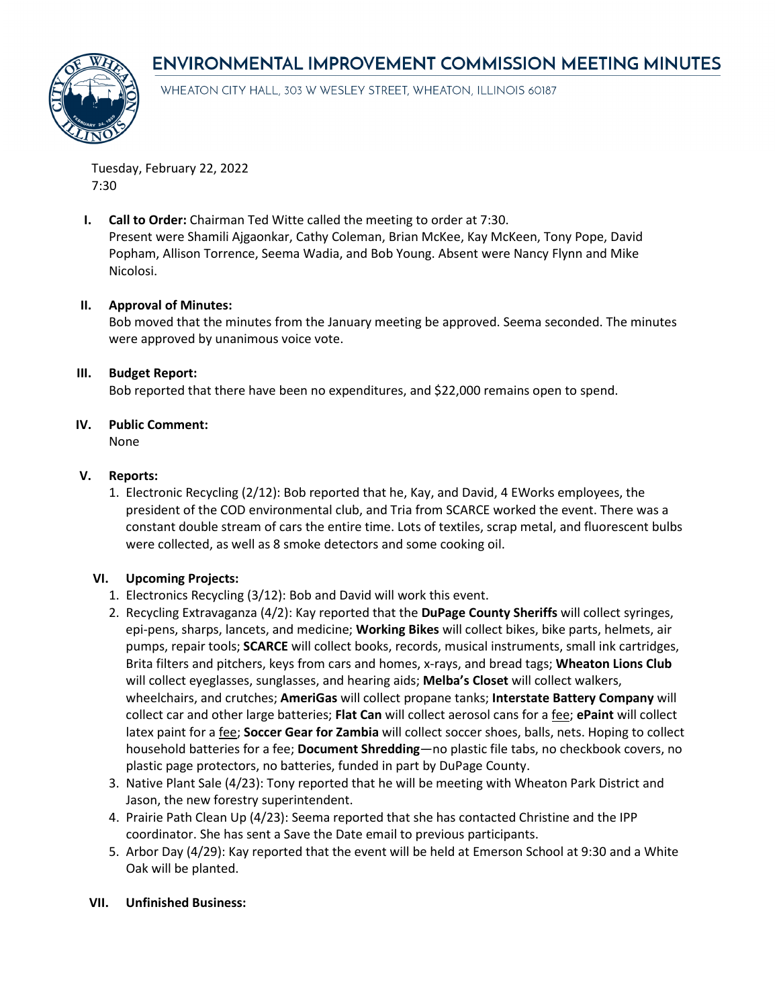# **ENVIRONMENTAL IMPROVEMENT COMMISSION MEETING MINUTES**



WHEATON CITY HALL, 303 W WESLEY STREET, WHEATON, ILLINOIS 60187

Tuesday, February 22, 2022 7:30

**I. Call to Order:** Chairman Ted Witte called the meeting to order at 7:30. Present were Shamili Ajgaonkar, Cathy Coleman, Brian McKee, Kay McKeen, Tony Pope, David Popham, Allison Torrence, Seema Wadia, and Bob Young. Absent were Nancy Flynn and Mike Nicolosi.

## **II. Approval of Minutes:**

Bob moved that the minutes from the January meeting be approved. Seema seconded. The minutes were approved by unanimous voice vote.

## **III. Budget Report:**

Bob reported that there have been no expenditures, and \$22,000 remains open to spend.

## **IV. Public Comment:**

None

## **V. Reports:**

1. Electronic Recycling (2/12): Bob reported that he, Kay, and David, 4 EWorks employees, the president of the COD environmental club, and Tria from SCARCE worked the event. There was a constant double stream of cars the entire time. Lots of textiles, scrap metal, and fluorescent bulbs were collected, as well as 8 smoke detectors and some cooking oil.

# **VI. Upcoming Projects:**

- 1. Electronics Recycling (3/12): Bob and David will work this event.
- 2. Recycling Extravaganza (4/2): Kay reported that the **DuPage County Sheriffs** will collect syringes, epi-pens, sharps, lancets, and medicine; **Working Bikes** will collect bikes, bike parts, helmets, air pumps, repair tools; **SCARCE** will collect books, records, musical instruments, small ink cartridges, Brita filters and pitchers, keys from cars and homes, x-rays, and bread tags; **Wheaton Lions Club** will collect eyeglasses, sunglasses, and hearing aids; **Melba's Closet** will collect walkers, wheelchairs, and crutches; **AmeriGas** will collect propane tanks; **Interstate Battery Company** will collect car and other large batteries; **Flat Can** will collect aerosol cans for a fee; **ePaint** will collect latex paint for a fee; **Soccer Gear for Zambia** will collect soccer shoes, balls, nets. Hoping to collect household batteries for a fee; **Document Shredding**—no plastic file tabs, no checkbook covers, no plastic page protectors, no batteries, funded in part by DuPage County.
- 3. Native Plant Sale (4/23): Tony reported that he will be meeting with Wheaton Park District and Jason, the new forestry superintendent.
- 4. Prairie Path Clean Up (4/23): Seema reported that she has contacted Christine and the IPP coordinator. She has sent a Save the Date email to previous participants.
- 5. Arbor Day (4/29): Kay reported that the event will be held at Emerson School at 9:30 and a White Oak will be planted.

#### **VII. Unfinished Business:**